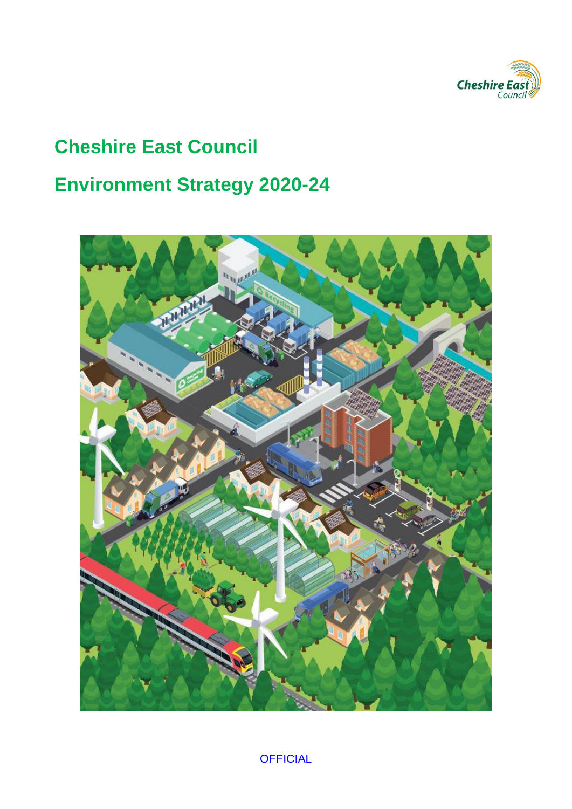

## **Cheshire East Council**

# **Environment Strategy 2020-24**

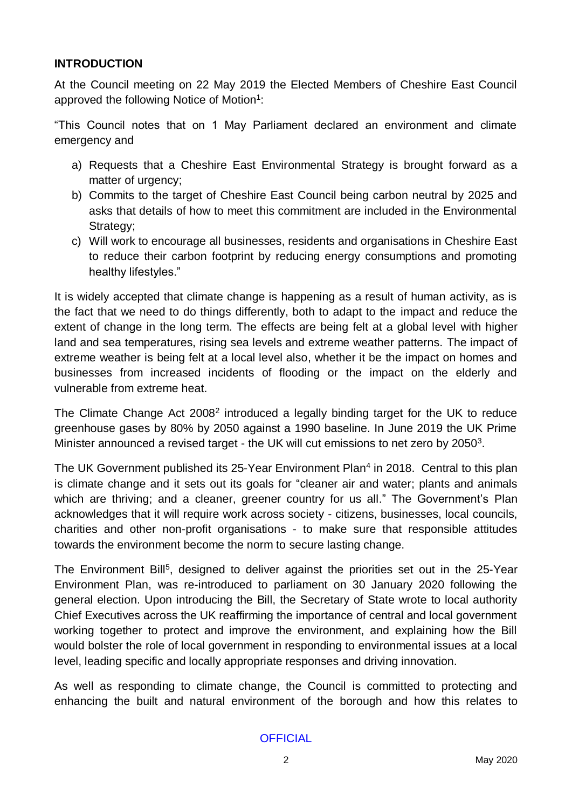#### **INTRODUCTION**

At the Council meeting on 22 May 2019 the Elected Members of Cheshire East Council approved the following Notice of Motion<sup>1</sup>:

"This Council notes that on 1 May Parliament declared an environment and climate emergency and

- a) Requests that a Cheshire East Environmental Strategy is brought forward as a matter of urgency;
- b) Commits to the target of Cheshire East Council being carbon neutral by 2025 and asks that details of how to meet this commitment are included in the Environmental Strategy:
- c) Will work to encourage all businesses, residents and organisations in Cheshire East to reduce their carbon footprint by reducing energy consumptions and promoting healthy lifestyles."

It is widely accepted that climate change is happening as a result of human activity, as is the fact that we need to do things differently, both to adapt to the impact and reduce the extent of change in the long term. The effects are being felt at a global level with higher land and sea temperatures, rising sea levels and extreme weather patterns. The impact of extreme weather is being felt at a local level also, whether it be the impact on homes and businesses from increased incidents of flooding or the impact on the elderly and vulnerable from extreme heat.

The Climate Change Act  $2008<sup>2</sup>$  introduced a legally binding target for the UK to reduce greenhouse gases by 80% by 2050 against a 1990 baseline. In June 2019 the UK Prime Minister announced a revised target - the UK will cut emissions to net zero by 2050<sup>3</sup>.

The UK Government published its 25-Year Environment Plan<sup>4</sup> in 2018. Central to this plan is climate change and it sets out its goals for "cleaner air and water; plants and animals which are thriving; and a cleaner, greener country for us all." The Government's Plan acknowledges that it will require work across society - citizens, businesses, local councils, charities and other non-profit organisations - to make sure that responsible attitudes towards the environment become the norm to secure lasting change.

The Environment Bill<sup>5</sup>, designed to deliver against the priorities set out in the 25-Year Environment Plan, was re-introduced to parliament on 30 January 2020 following the general election. Upon introducing the Bill, the Secretary of State wrote to local authority Chief Executives across the UK reaffirming the importance of central and local government working together to protect and improve the environment, and explaining how the Bill would bolster the role of local government in responding to environmental issues at a local level, leading specific and locally appropriate responses and driving innovation.

As well as responding to climate change, the Council is committed to protecting and enhancing the built and natural environment of the borough and how this relates to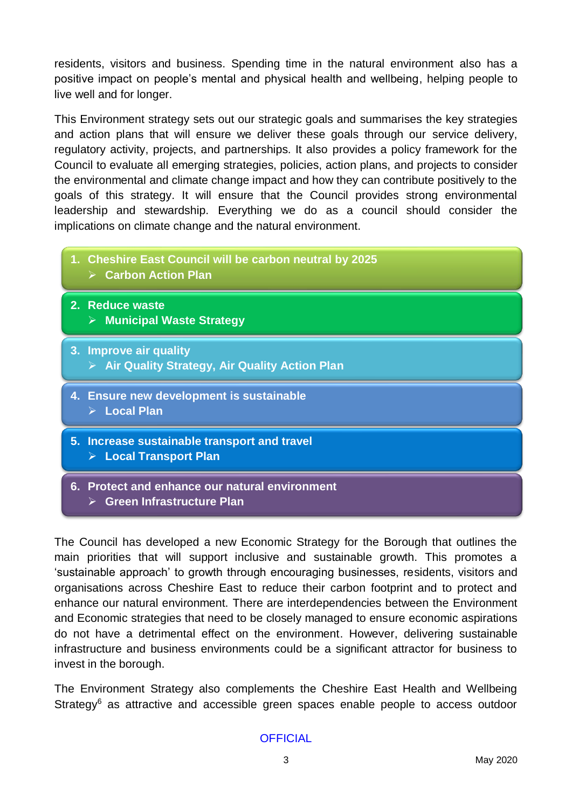residents, visitors and business. Spending time in the natural environment also has a positive impact on people's mental and physical health and wellbeing, helping people to live well and for longer.

This Environment strategy sets out our strategic goals and summarises the key strategies and action plans that will ensure we deliver these goals through our service delivery, regulatory activity, projects, and partnerships. It also provides a policy framework for the Council to evaluate all emerging strategies, policies, action plans, and projects to consider the environmental and climate change impact and how they can contribute positively to the goals of this strategy. It will ensure that the Council provides strong environmental leadership and stewardship. Everything we do as a council should consider the implications on climate change and the natural environment.

- **1. Cheshire East Council will be carbon neutral by 2025**
	- ➢ **Carbon Action Plan**
- **2. Reduce waste** ➢ **Municipal Waste Strategy**
- **3. Improve air quality** ➢ **Air Quality Strategy, Air Quality Action Plan**
- **4. Ensure new development is sustainable**
	- ➢ **Local Plan**
- **5. Increase sustainable transport and travel** ➢ **Local Transport Plan**
- **6. Protect and enhance our natural environment** ➢ **Green Infrastructure Plan**

The Council has developed a new Economic Strategy for the Borough that outlines the main priorities that will support inclusive and sustainable growth. This promotes a 'sustainable approach' to growth through encouraging businesses, residents, visitors and organisations across Cheshire East to reduce their carbon footprint and to protect and enhance our natural environment. There are interdependencies between the Environment and Economic strategies that need to be closely managed to ensure economic aspirations do not have a detrimental effect on the environment. However, delivering sustainable infrastructure and business environments could be a significant attractor for business to invest in the borough.

The Environment Strategy also complements the Cheshire East Health and Wellbeing Strategy<sup>6</sup> as attractive and accessible green spaces enable people to access outdoor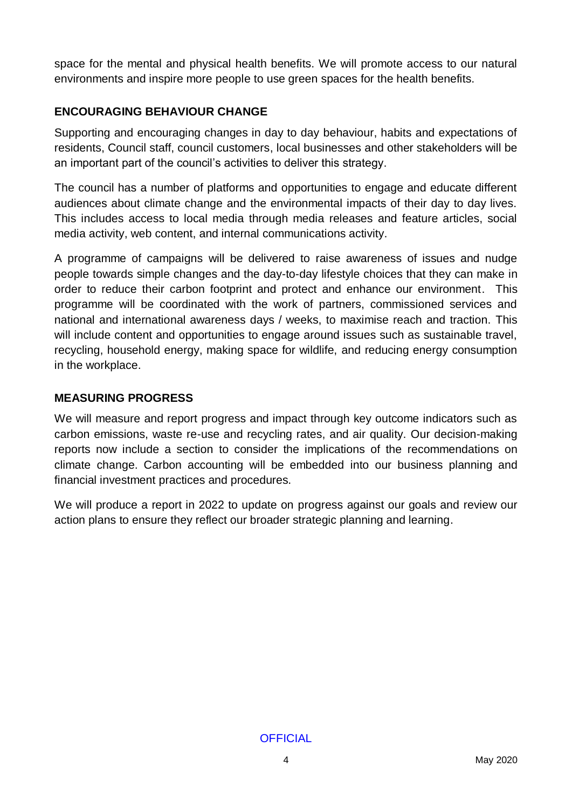space for the mental and physical health benefits. We will promote access to our natural environments and inspire more people to use green spaces for the health benefits.

## **ENCOURAGING BEHAVIOUR CHANGE**

Supporting and encouraging changes in day to day behaviour, habits and expectations of residents, Council staff, council customers, local businesses and other stakeholders will be an important part of the council's activities to deliver this strategy.

The council has a number of platforms and opportunities to engage and educate different audiences about climate change and the environmental impacts of their day to day lives. This includes access to local media through media releases and feature articles, social media activity, web content, and internal communications activity.

A programme of campaigns will be delivered to raise awareness of issues and nudge people towards simple changes and the day-to-day lifestyle choices that they can make in order to reduce their carbon footprint and protect and enhance our environment. This programme will be coordinated with the work of partners, commissioned services and national and international awareness days / weeks, to maximise reach and traction. This will include content and opportunities to engage around issues such as sustainable travel, recycling, household energy, making space for wildlife, and reducing energy consumption in the workplace.

## **MEASURING PROGRESS**

We will measure and report progress and impact through key outcome indicators such as carbon emissions, waste re-use and recycling rates, and air quality. Our decision-making reports now include a section to consider the implications of the recommendations on climate change. Carbon accounting will be embedded into our business planning and financial investment practices and procedures.

We will produce a report in 2022 to update on progress against our goals and review our action plans to ensure they reflect our broader strategic planning and learning.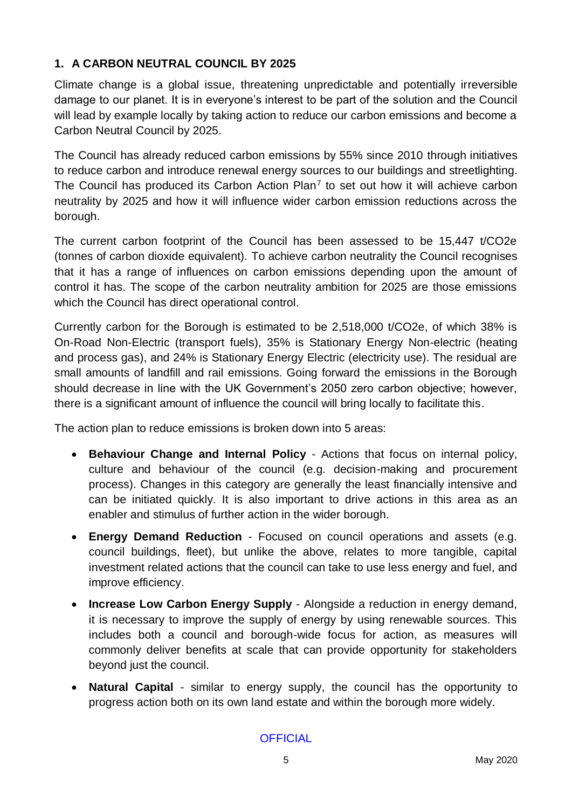## **1. A CARBON NEUTRAL COUNCIL BY 2025**

Climate change is a global issue, threatening unpredictable and potentially irreversible damage to our planet. It is in everyone's interest to be part of the solution and the Council will lead by example locally by taking action to reduce our carbon emissions and become a Carbon Neutral Council by 2025.

The Council has already reduced carbon emissions by 55% since 2010 through initiatives to reduce carbon and introduce renewal energy sources to our buildings and streetlighting. The Council has produced its Carbon Action Plan<sup>7</sup> to set out how it will achieve carbon neutrality by 2025 and how it will influence wider carbon emission reductions across the borough.

The current carbon footprint of the Council has been assessed to be 15,447 t/CO2e (tonnes of carbon dioxide equivalent). To achieve carbon neutrality the Council recognises that it has a range of influences on carbon emissions depending upon the amount of control it has. The scope of the carbon neutrality ambition for 2025 are those emissions which the Council has direct operational control.

Currently carbon for the Borough is estimated to be 2,518,000 t/CO2e, of which 38% is On-Road Non-Electric (transport fuels), 35% is Stationary Energy Non-electric (heating and process gas), and 24% is Stationary Energy Electric (electricity use). The residual are small amounts of landfill and rail emissions. Going forward the emissions in the Borough should decrease in line with the UK Government's 2050 zero carbon objective; however, there is a significant amount of influence the council will bring locally to facilitate this.

The action plan to reduce emissions is broken down into 5 areas:

- **Behaviour Change and Internal Policy** Actions that focus on internal policy, culture and behaviour of the council (e.g. decision-making and procurement process). Changes in this category are generally the least financially intensive and can be initiated quickly. It is also important to drive actions in this area as an enabler and stimulus of further action in the wider borough.
- **Energy Demand Reduction** Focused on council operations and assets (e.g. council buildings, fleet), but unlike the above, relates to more tangible, capital investment related actions that the council can take to use less energy and fuel, and improve efficiency.
- **Increase Low Carbon Energy Supply** Alongside a reduction in energy demand, it is necessary to improve the supply of energy by using renewable sources. This includes both a council and borough-wide focus for action, as measures will commonly deliver benefits at scale that can provide opportunity for stakeholders beyond just the council.
- **Natural Capital** similar to energy supply, the council has the opportunity to progress action both on its own land estate and within the borough more widely.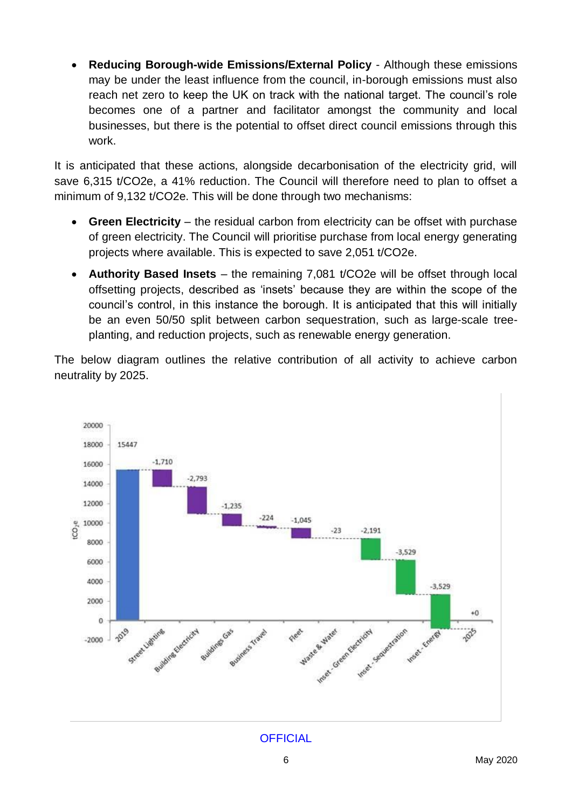• **Reducing Borough-wide Emissions/External Policy** - Although these emissions may be under the least influence from the council, in-borough emissions must also reach net zero to keep the UK on track with the national target. The council's role becomes one of a partner and facilitator amongst the community and local businesses, but there is the potential to offset direct council emissions through this work.

It is anticipated that these actions, alongside decarbonisation of the electricity grid, will save 6,315 t/CO2e, a 41% reduction. The Council will therefore need to plan to offset a minimum of 9,132 t/CO2e. This will be done through two mechanisms:

- Green Electricity the residual carbon from electricity can be offset with purchase of green electricity. The Council will prioritise purchase from local energy generating projects where available. This is expected to save 2,051 t/CO2e.
- **Authority Based Insets**  the remaining 7,081 t/CO2e will be offset through local offsetting projects, described as 'insets' because they are within the scope of the council's control, in this instance the borough. It is anticipated that this will initially be an even 50/50 split between carbon sequestration, such as large-scale treeplanting, and reduction projects, such as renewable energy generation.

The below diagram outlines the relative contribution of all activity to achieve carbon neutrality by 2025.

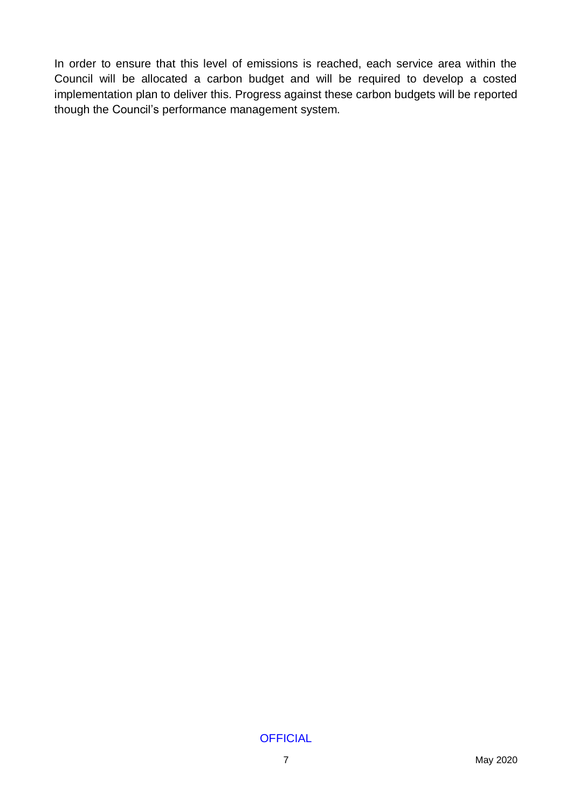In order to ensure that this level of emissions is reached, each service area within the Council will be allocated a carbon budget and will be required to develop a costed implementation plan to deliver this. Progress against these carbon budgets will be reported though the Council's performance management system.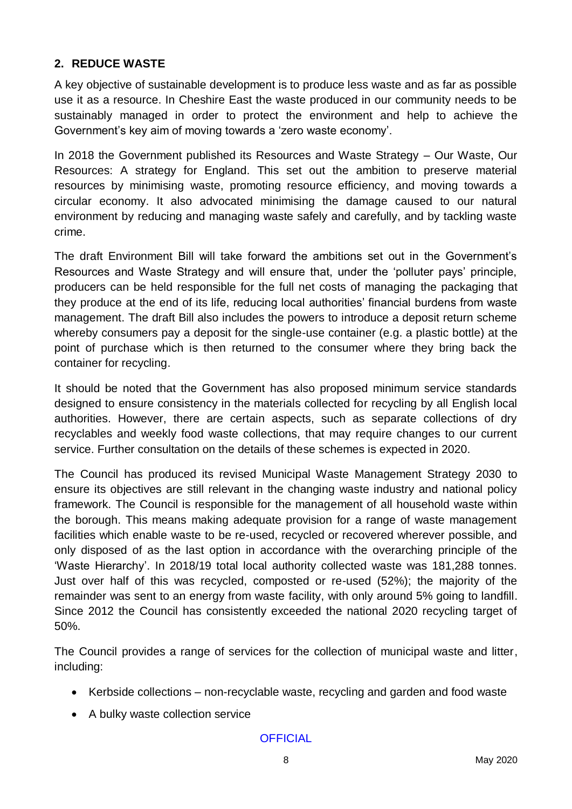#### **2. REDUCE WASTE**

A key objective of sustainable development is to produce less waste and as far as possible use it as a resource. In Cheshire East the waste produced in our community needs to be sustainably managed in order to protect the environment and help to achieve the Government's key aim of moving towards a 'zero waste economy'.

In 2018 the Government published its Resources and Waste Strategy – Our Waste, Our Resources: A strategy for England. This set out the ambition to preserve material resources by minimising waste, promoting resource efficiency, and moving towards a circular economy. It also advocated minimising the damage caused to our natural environment by reducing and managing waste safely and carefully, and by tackling waste crime.

The draft Environment Bill will take forward the ambitions set out in the Government's Resources and Waste Strategy and will ensure that, under the 'polluter pays' principle, producers can be held responsible for the full net costs of managing the packaging that they produce at the end of its life, reducing local authorities' financial burdens from waste management. The draft Bill also includes the powers to introduce a deposit return scheme whereby consumers pay a deposit for the single-use container (e.g. a plastic bottle) at the point of purchase which is then returned to the consumer where they bring back the container for recycling.

It should be noted that the Government has also proposed minimum service standards designed to ensure consistency in the materials collected for recycling by all English local authorities. However, there are certain aspects, such as separate collections of dry recyclables and weekly food waste collections, that may require changes to our current service. Further consultation on the details of these schemes is expected in 2020.

The Council has produced its revised Municipal Waste Management Strategy 2030 to ensure its objectives are still relevant in the changing waste industry and national policy framework. The Council is responsible for the management of all household waste within the borough. This means making adequate provision for a range of waste management facilities which enable waste to be re-used, recycled or recovered wherever possible, and only disposed of as the last option in accordance with the overarching principle of the 'Waste Hierarchy'. In 2018/19 total local authority collected waste was 181,288 tonnes. Just over half of this was recycled, composted or re-used (52%); the majority of the remainder was sent to an energy from waste facility, with only around 5% going to landfill. Since 2012 the Council has consistently exceeded the national 2020 recycling target of 50%.

The Council provides a range of services for the collection of municipal waste and litter, including:

- Kerbside collections non-recyclable waste, recycling and garden and food waste
- A bulky waste collection service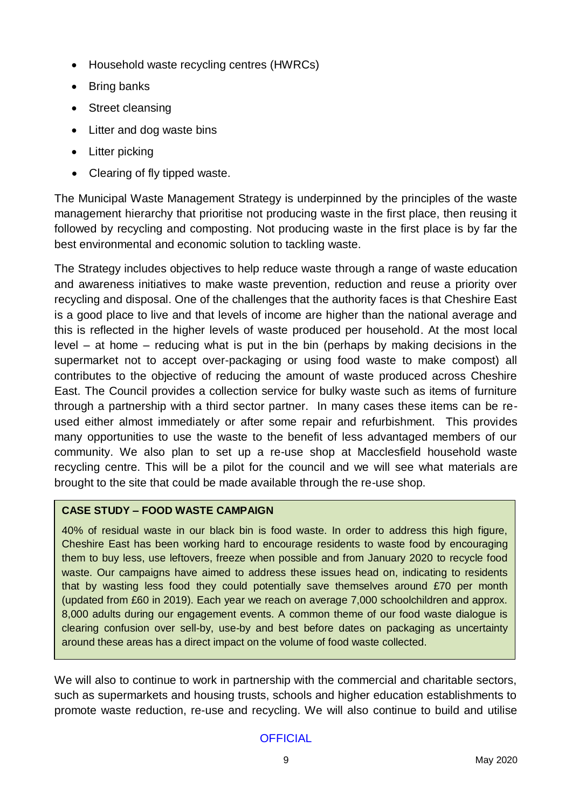- Household waste recycling centres (HWRCs)
- Bring banks
- Street cleansing
- Litter and dog waste bins
- Litter picking
- Clearing of fly tipped waste.

The Municipal Waste Management Strategy is underpinned by the principles of the waste management hierarchy that prioritise not producing waste in the first place, then reusing it followed by recycling and composting. Not producing waste in the first place is by far the best environmental and economic solution to tackling waste.

The Strategy includes objectives to help reduce waste through a range of waste education and awareness initiatives to make waste prevention, reduction and reuse a priority over recycling and disposal. One of the challenges that the authority faces is that Cheshire East is a good place to live and that levels of income are higher than the national average and this is reflected in the higher levels of waste produced per household. At the most local level – at home – reducing what is put in the bin (perhaps by making decisions in the supermarket not to accept over-packaging or using food waste to make compost) all contributes to the objective of reducing the amount of waste produced across Cheshire East. The Council provides a collection service for bulky waste such as items of furniture through a partnership with a third sector partner. In many cases these items can be reused either almost immediately or after some repair and refurbishment. This provides many opportunities to use the waste to the benefit of less advantaged members of our community. We also plan to set up a re-use shop at Macclesfield household waste recycling centre. This will be a pilot for the council and we will see what materials are brought to the site that could be made available through the re-use shop.

## **CASE STUDY – FOOD WASTE CAMPAIGN**

40% of residual waste in our black bin is food waste. In order to address this high figure, Cheshire East has been working hard to encourage residents to waste food by encouraging them to buy less, use leftovers, freeze when possible and from January 2020 to recycle food waste. Our campaigns have aimed to address these issues head on, indicating to residents that by wasting less food they could potentially save themselves around £70 per month (updated from £60 in 2019). Each year we reach on average 7,000 schoolchildren and approx. 8,000 adults during our engagement events. A common theme of our food waste dialogue is clearing confusion over sell-by, use-by and best before dates on packaging as uncertainty around these areas has a direct impact on the volume of food waste collected.

We will also to continue to work in partnership with the commercial and charitable sectors, such as supermarkets and housing trusts, schools and higher education establishments to promote waste reduction, re-use and recycling. We will also continue to build and utilise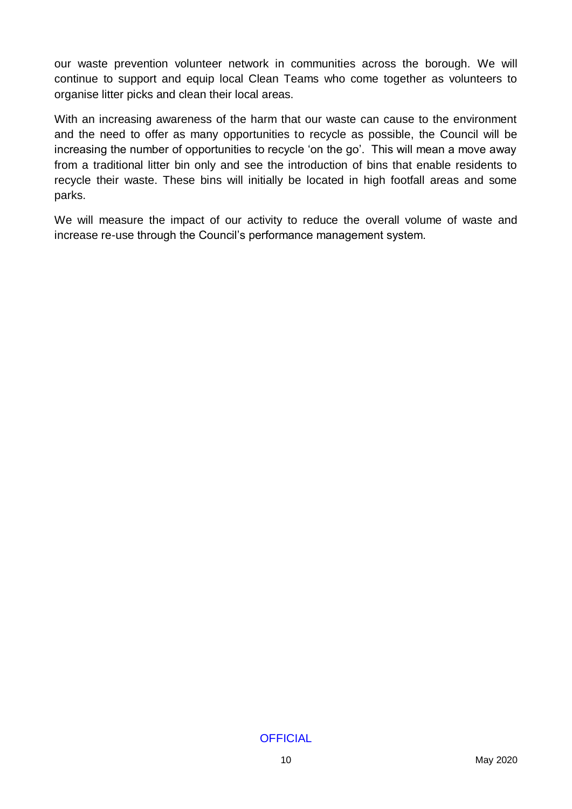our waste prevention volunteer network in communities across the borough. We will continue to support and equip local Clean Teams who come together as volunteers to organise litter picks and clean their local areas.

With an increasing awareness of the harm that our waste can cause to the environment and the need to offer as many opportunities to recycle as possible, the Council will be increasing the number of opportunities to recycle 'on the go'. This will mean a move away from a traditional litter bin only and see the introduction of bins that enable residents to recycle their waste. These bins will initially be located in high footfall areas and some parks.

We will measure the impact of our activity to reduce the overall volume of waste and increase re-use through the Council's performance management system.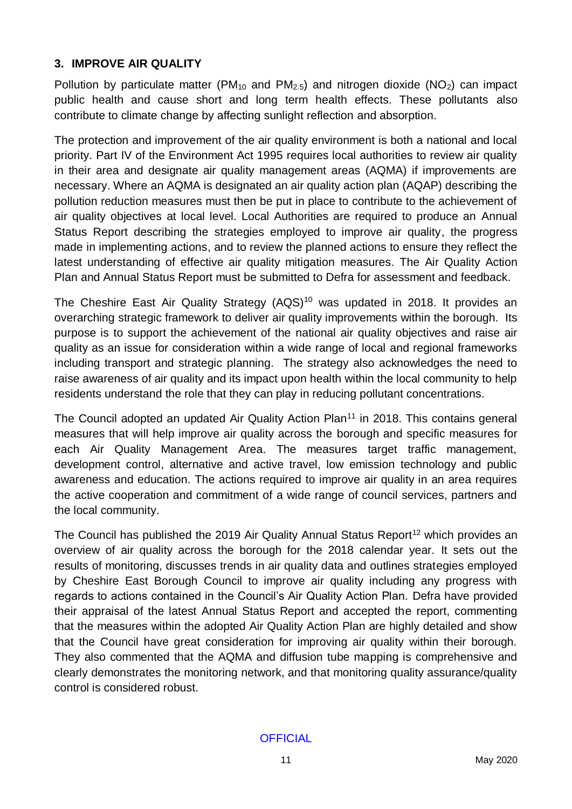#### **3. IMPROVE AIR QUALITY**

Pollution by particulate matter (PM<sub>10</sub> and PM<sub>2.5</sub>) and nitrogen dioxide (NO<sub>2</sub>) can impact public health and cause short and long term health effects. These pollutants also contribute to climate change by affecting sunlight reflection and absorption.

The protection and improvement of the air quality environment is both a national and local priority. Part IV of the Environment Act 1995 requires local authorities to review air quality in their area and designate air quality management areas (AQMA) if improvements are necessary. Where an AQMA is designated an air quality action plan (AQAP) describing the pollution reduction measures must then be put in place to contribute to the achievement of air quality objectives at local level. Local Authorities are required to produce an Annual Status Report describing the strategies employed to improve air quality, the progress made in implementing actions, and to review the planned actions to ensure they reflect the latest understanding of effective air quality mitigation measures. The Air Quality Action Plan and Annual Status Report must be submitted to Defra for assessment and feedback.

The Cheshire East Air Quality Strategy (AQS)<sup>10</sup> was updated in 2018. It provides an overarching strategic framework to deliver air quality improvements within the borough. Its purpose is to support the achievement of the national air quality objectives and raise air quality as an issue for consideration within a wide range of local and regional frameworks including transport and strategic planning. The strategy also acknowledges the need to raise awareness of air quality and its impact upon health within the local community to help residents understand the role that they can play in reducing pollutant concentrations.

The Council adopted an updated Air Quality Action Plan<sup>11</sup> in 2018. This contains general measures that will help improve air quality across the borough and specific measures for each Air Quality Management Area. The measures target traffic management, development control, alternative and active travel, low emission technology and public awareness and education. The actions required to improve air quality in an area requires the active cooperation and commitment of a wide range of council services, partners and the local community.

The Council has published the 2019 Air Quality Annual Status Report<sup>12</sup> which provides an overview of air quality across the borough for the 2018 calendar year. It sets out the results of monitoring, discusses trends in air quality data and outlines strategies employed by Cheshire East Borough Council to improve air quality including any progress with regards to actions contained in the Council's Air Quality Action Plan. Defra have provided their appraisal of the latest Annual Status Report and accepted the report, commenting that the measures within the adopted Air Quality Action Plan are highly detailed and show that the Council have great consideration for improving air quality within their borough. They also commented that the AQMA and diffusion tube mapping is comprehensive and clearly demonstrates the monitoring network, and that monitoring quality assurance/quality control is considered robust.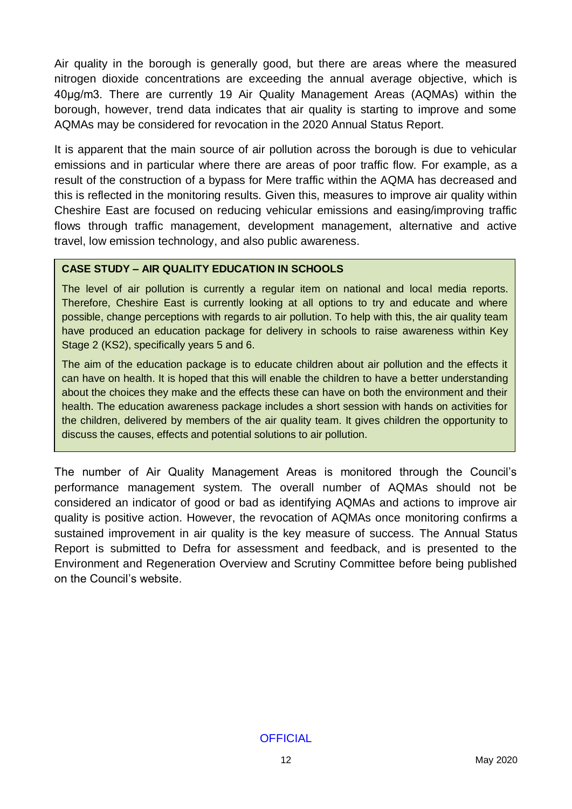Air quality in the borough is generally good, but there are areas where the measured nitrogen dioxide concentrations are exceeding the annual average objective, which is 40μg/m3. There are currently 19 Air Quality Management Areas (AQMAs) within the borough, however, trend data indicates that air quality is starting to improve and some AQMAs may be considered for revocation in the 2020 Annual Status Report.

It is apparent that the main source of air pollution across the borough is due to vehicular emissions and in particular where there are areas of poor traffic flow. For example, as a result of the construction of a bypass for Mere traffic within the AQMA has decreased and this is reflected in the monitoring results. Given this, measures to improve air quality within Cheshire East are focused on reducing vehicular emissions and easing/improving traffic flows through traffic management, development management, alternative and active travel, low emission technology, and also public awareness.

#### **CASE STUDY – AIR QUALITY EDUCATION IN SCHOOLS**

The level of air pollution is currently a regular item on national and local media reports. Therefore, Cheshire East is currently looking at all options to try and educate and where possible, change perceptions with regards to air pollution. To help with this, the air quality team have produced an education package for delivery in schools to raise awareness within Key Stage 2 (KS2), specifically years 5 and 6.

The aim of the education package is to educate children about air pollution and the effects it can have on health. It is hoped that this will enable the children to have a better understanding about the choices they make and the effects these can have on both the environment and their health. The education awareness package includes a short session with hands on activities for the children, delivered by members of the air quality team. It gives children the opportunity to discuss the causes, effects and potential solutions to air pollution.

The number of Air Quality Management Areas is monitored through the Council's performance management system. The overall number of AQMAs should not be considered an indicator of good or bad as identifying AQMAs and actions to improve air quality is positive action. However, the revocation of AQMAs once monitoring confirms a sustained improvement in air quality is the key measure of success. The Annual Status Report is submitted to Defra for assessment and feedback, and is presented to the Environment and Regeneration Overview and Scrutiny Committee before being published on the Council's website.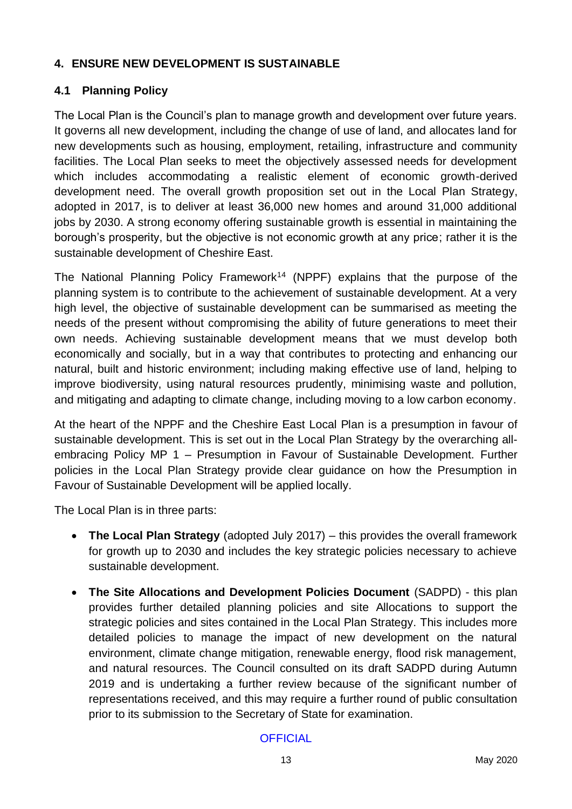## **4. ENSURE NEW DEVELOPMENT IS SUSTAINABLE**

## **4.1 Planning Policy**

The Local Plan is the Council's plan to manage growth and development over future years. It governs all new development, including the change of use of land, and allocates land for new developments such as housing, employment, retailing, infrastructure and community facilities. The Local Plan seeks to meet the objectively assessed needs for development which includes accommodating a realistic element of economic growth-derived development need. The overall growth proposition set out in the Local Plan Strategy, adopted in 2017, is to deliver at least 36,000 new homes and around 31,000 additional jobs by 2030. A strong economy offering sustainable growth is essential in maintaining the borough's prosperity, but the objective is not economic growth at any price; rather it is the sustainable development of Cheshire East.

The National Planning Policy Framework<sup>14</sup> (NPPF) explains that the purpose of the planning system is to contribute to the achievement of sustainable development. At a very high level, the objective of sustainable development can be summarised as meeting the needs of the present without compromising the ability of future generations to meet their own needs. Achieving sustainable development means that we must develop both economically and socially, but in a way that contributes to protecting and enhancing our natural, built and historic environment; including making effective use of land, helping to improve biodiversity, using natural resources prudently, minimising waste and pollution, and mitigating and adapting to climate change, including moving to a low carbon economy.

At the heart of the NPPF and the Cheshire East Local Plan is a presumption in favour of sustainable development. This is set out in the Local Plan Strategy by the overarching allembracing Policy MP 1 – Presumption in Favour of Sustainable Development. Further policies in the Local Plan Strategy provide clear guidance on how the Presumption in Favour of Sustainable Development will be applied locally.

The Local Plan is in three parts:

- **The Local Plan Strategy** (adopted July 2017) this provides the overall framework for growth up to 2030 and includes the key strategic policies necessary to achieve sustainable development.
- **The Site Allocations and Development Policies Document** (SADPD) this plan provides further detailed planning policies and site Allocations to support the strategic policies and sites contained in the Local Plan Strategy. This includes more detailed policies to manage the impact of new development on the natural environment, climate change mitigation, renewable energy, flood risk management, and natural resources. The Council consulted on its draft SADPD during Autumn 2019 and is undertaking a further review because of the significant number of representations received, and this may require a further round of public consultation prior to its submission to the Secretary of State for examination.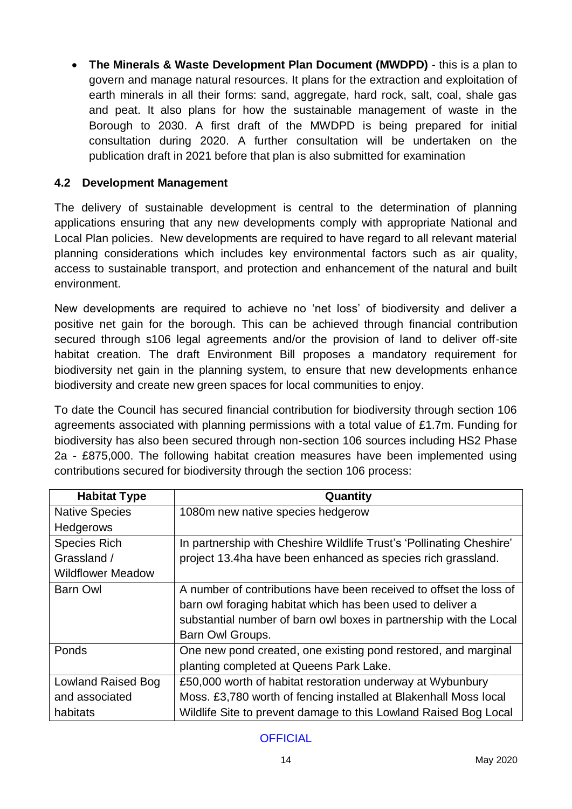• **The Minerals & Waste Development Plan Document (MWDPD)** - this is a plan to govern and manage natural resources. It plans for the extraction and exploitation of earth minerals in all their forms: sand, aggregate, hard rock, salt, coal, shale gas and peat. It also plans for how the sustainable management of waste in the Borough to 2030. A first draft of the MWDPD is being prepared for initial consultation during 2020. A further consultation will be undertaken on the publication draft in 2021 before that plan is also submitted for examination

#### **4.2 Development Management**

The delivery of sustainable development is central to the determination of planning applications ensuring that any new developments comply with appropriate National and Local Plan policies. New developments are required to have regard to all relevant material planning considerations which includes key environmental factors such as air quality, access to sustainable transport, and protection and enhancement of the natural and built environment.

New developments are required to achieve no 'net loss' of biodiversity and deliver a positive net gain for the borough. This can be achieved through financial contribution secured through s106 legal agreements and/or the provision of land to deliver off-site habitat creation. The draft Environment Bill proposes a mandatory requirement for biodiversity net gain in the planning system, to ensure that new developments enhance biodiversity and create new green spaces for local communities to enjoy.

To date the Council has secured financial contribution for biodiversity through section 106 agreements associated with planning permissions with a total value of £1.7m. Funding for biodiversity has also been secured through non-section 106 sources including HS2 Phase 2a - £875,000. The following habitat creation measures have been implemented using contributions secured for biodiversity through the section 106 process:

| <b>Habitat Type</b>      | Quantity                                                                                                                         |
|--------------------------|----------------------------------------------------------------------------------------------------------------------------------|
| <b>Native Species</b>    | 1080m new native species hedgerow                                                                                                |
| <b>Hedgerows</b>         |                                                                                                                                  |
| <b>Species Rich</b>      | In partnership with Cheshire Wildlife Trust's 'Pollinating Cheshire'                                                             |
| Grassland /              | project 13.4ha have been enhanced as species rich grassland.                                                                     |
| <b>Wildflower Meadow</b> |                                                                                                                                  |
| Barn Owl                 | A number of contributions have been received to offset the loss of<br>barn owl foraging habitat which has been used to deliver a |
|                          | substantial number of barn owl boxes in partnership with the Local                                                               |
|                          | Barn Owl Groups.                                                                                                                 |
| Ponds                    | One new pond created, one existing pond restored, and marginal                                                                   |
|                          | planting completed at Queens Park Lake.                                                                                          |
| Lowland Raised Bog       | £50,000 worth of habitat restoration underway at Wybunbury                                                                       |
| and associated           | Moss. £3,780 worth of fencing installed at Blakenhall Moss local                                                                 |
| habitats                 | Wildlife Site to prevent damage to this Lowland Raised Bog Local                                                                 |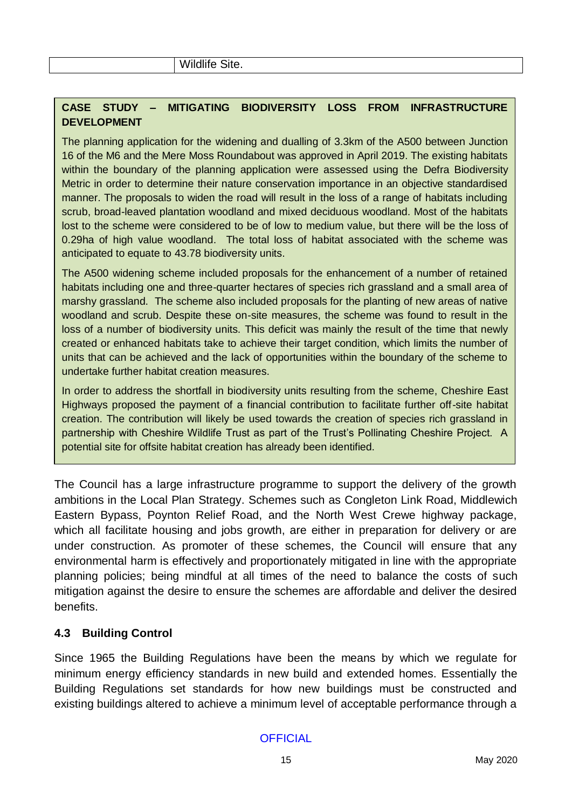## **CASE STUDY – MITIGATING BIODIVERSITY LOSS FROM INFRASTRUCTURE DEVELOPMENT**

The planning application for the widening and dualling of 3.3km of the A500 between Junction 16 of the M6 and the Mere Moss Roundabout was approved in April 2019. The existing habitats within the boundary of the planning application were assessed using the Defra Biodiversity Metric in order to determine their nature conservation importance in an objective standardised manner. The proposals to widen the road will result in the loss of a range of habitats including scrub, broad-leaved plantation woodland and mixed deciduous woodland. Most of the habitats lost to the scheme were considered to be of low to medium value, but there will be the loss of 0.29ha of high value woodland. The total loss of habitat associated with the scheme was anticipated to equate to 43.78 biodiversity units.

The A500 widening scheme included proposals for the enhancement of a number of retained habitats including one and three-quarter hectares of species rich grassland and a small area of marshy grassland. The scheme also included proposals for the planting of new areas of native woodland and scrub. Despite these on-site measures, the scheme was found to result in the loss of a number of biodiversity units. This deficit was mainly the result of the time that newly created or enhanced habitats take to achieve their target condition, which limits the number of units that can be achieved and the lack of opportunities within the boundary of the scheme to undertake further habitat creation measures.

In order to address the shortfall in biodiversity units resulting from the scheme, Cheshire East Highways proposed the payment of a financial contribution to facilitate further off-site habitat creation. The contribution will likely be used towards the creation of species rich grassland in partnership with Cheshire Wildlife Trust as part of the Trust's Pollinating Cheshire Project. A potential site for offsite habitat creation has already been identified.

The Council has a large infrastructure programme to support the delivery of the growth ambitions in the Local Plan Strategy. Schemes such as Congleton Link Road, Middlewich Eastern Bypass, Poynton Relief Road, and the North West Crewe highway package, which all facilitate housing and jobs growth, are either in preparation for delivery or are under construction. As promoter of these schemes, the Council will ensure that any environmental harm is effectively and proportionately mitigated in line with the appropriate planning policies; being mindful at all times of the need to balance the costs of such mitigation against the desire to ensure the schemes are affordable and deliver the desired benefits.

## **4.3 Building Control**

Since 1965 the Building Regulations have been the means by which we regulate for minimum energy efficiency standards in new build and extended homes. Essentially the Building Regulations set standards for how new buildings must be constructed and existing buildings altered to achieve a minimum level of acceptable performance through a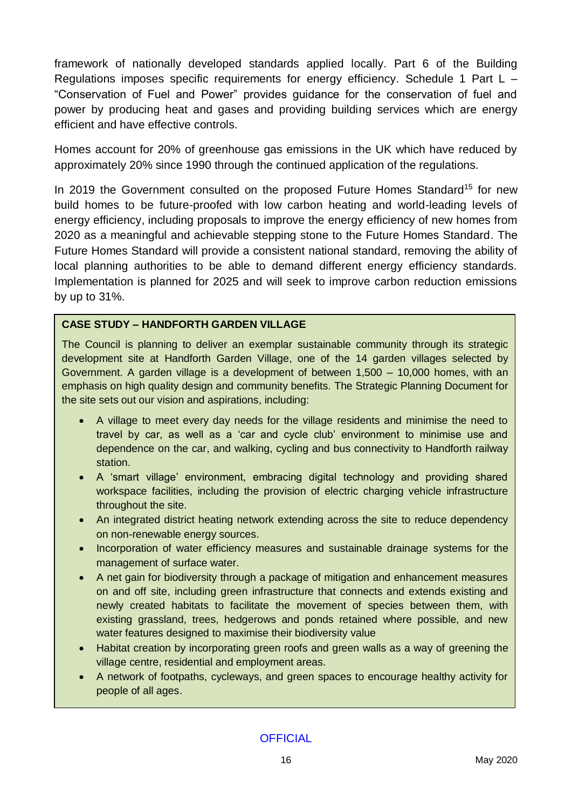framework of nationally developed standards applied locally. Part 6 of the Building Regulations imposes specific requirements for energy efficiency. Schedule 1 Part L – "Conservation of Fuel and Power" provides guidance for the conservation of fuel and power by producing heat and gases and providing building services which are energy efficient and have effective controls.

Homes account for 20% of greenhouse gas emissions in the UK which have reduced by approximately 20% since 1990 through the continued application of the regulations.

In 2019 the Government consulted on the proposed Future Homes Standard<sup>15</sup> for new build homes to be future-proofed with low carbon heating and world-leading levels of energy efficiency, including proposals to improve the energy efficiency of new homes from 2020 as a meaningful and achievable stepping stone to the Future Homes Standard. The Future Homes Standard will provide a consistent national standard, removing the ability of local planning authorities to be able to demand different energy efficiency standards. Implementation is planned for 2025 and will seek to improve carbon reduction emissions by up to 31%.

#### **CASE STUDY – HANDFORTH GARDEN VILLAGE**

The Council is planning to deliver an exemplar sustainable community through its strategic development site at Handforth Garden Village, one of the 14 garden villages selected by Government. A garden village is a development of between 1,500 – 10,000 homes, with an emphasis on high quality design and community benefits. The Strategic Planning Document for the site sets out our vision and aspirations, including:

- A village to meet every day needs for the village residents and minimise the need to travel by car, as well as a 'car and cycle club' environment to minimise use and dependence on the car, and walking, cycling and bus connectivity to Handforth railway station.
- A 'smart village' environment, embracing digital technology and providing shared workspace facilities, including the provision of electric charging vehicle infrastructure throughout the site.
- An integrated district heating network extending across the site to reduce dependency on non-renewable energy sources.
- Incorporation of water efficiency measures and sustainable drainage systems for the management of surface water.
- A net gain for biodiversity through a package of mitigation and enhancement measures on and off site, including green infrastructure that connects and extends existing and newly created habitats to facilitate the movement of species between them, with existing grassland, trees, hedgerows and ponds retained where possible, and new water features designed to maximise their biodiversity value
- Habitat creation by incorporating green roofs and green walls as a way of greening the village centre, residential and employment areas.
- A network of footpaths, cycleways, and green spaces to encourage healthy activity for people of all ages.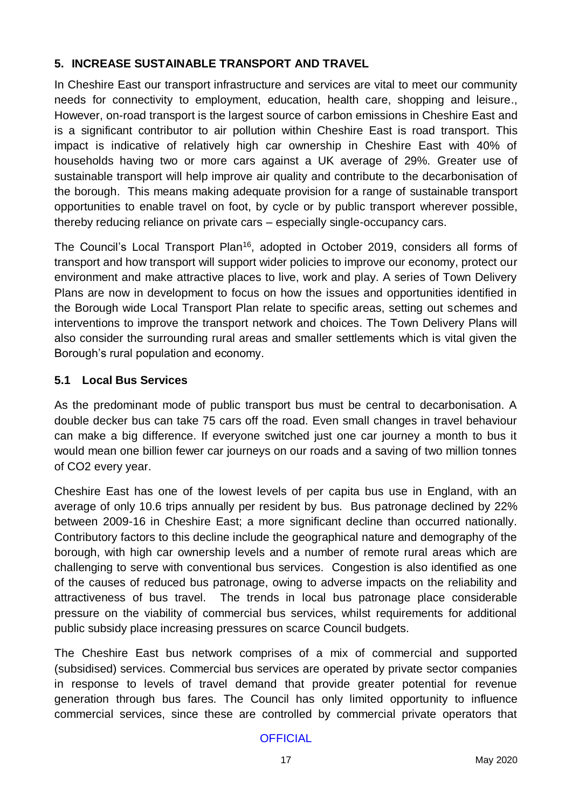## **5. INCREASE SUSTAINABLE TRANSPORT AND TRAVEL**

In Cheshire East our transport infrastructure and services are vital to meet our community needs for connectivity to employment, education, health care, shopping and leisure., However, on-road transport is the largest source of carbon emissions in Cheshire East and is a significant contributor to air pollution within Cheshire East is road transport. This impact is indicative of relatively high car ownership in Cheshire East with 40% of households having two or more cars against a UK average of 29%. Greater use of sustainable transport will help improve air quality and contribute to the decarbonisation of the borough. This means making adequate provision for a range of sustainable transport opportunities to enable travel on foot, by cycle or by public transport wherever possible, thereby reducing reliance on private cars – especially single-occupancy cars.

The Council's Local Transport Plan<sup>16</sup>, adopted in October 2019, considers all forms of transport and how transport will support wider policies to improve our economy, protect our environment and make attractive places to live, work and play. A series of Town Delivery Plans are now in development to focus on how the issues and opportunities identified in the Borough wide Local Transport Plan relate to specific areas, setting out schemes and interventions to improve the transport network and choices. The Town Delivery Plans will also consider the surrounding rural areas and smaller settlements which is vital given the Borough's rural population and economy.

## **5.1 Local Bus Services**

As the predominant mode of public transport bus must be central to decarbonisation. A double decker bus can take 75 cars off the road. Even small changes in travel behaviour can make a big difference. If everyone switched just one car journey a month to bus it would mean one billion fewer car journeys on our roads and a saving of two million tonnes of CO2 every year.

Cheshire East has one of the lowest levels of per capita bus use in England, with an average of only 10.6 trips annually per resident by bus. Bus patronage declined by 22% between 2009-16 in Cheshire East; a more significant decline than occurred nationally. Contributory factors to this decline include the geographical nature and demography of the borough, with high car ownership levels and a number of remote rural areas which are challenging to serve with conventional bus services. Congestion is also identified as one of the causes of reduced bus patronage, owing to adverse impacts on the reliability and attractiveness of bus travel. The trends in local bus patronage place considerable pressure on the viability of commercial bus services, whilst requirements for additional public subsidy place increasing pressures on scarce Council budgets.

The Cheshire East bus network comprises of a mix of commercial and supported (subsidised) services. Commercial bus services are operated by private sector companies in response to levels of travel demand that provide greater potential for revenue generation through bus fares. The Council has only limited opportunity to influence commercial services, since these are controlled by commercial private operators that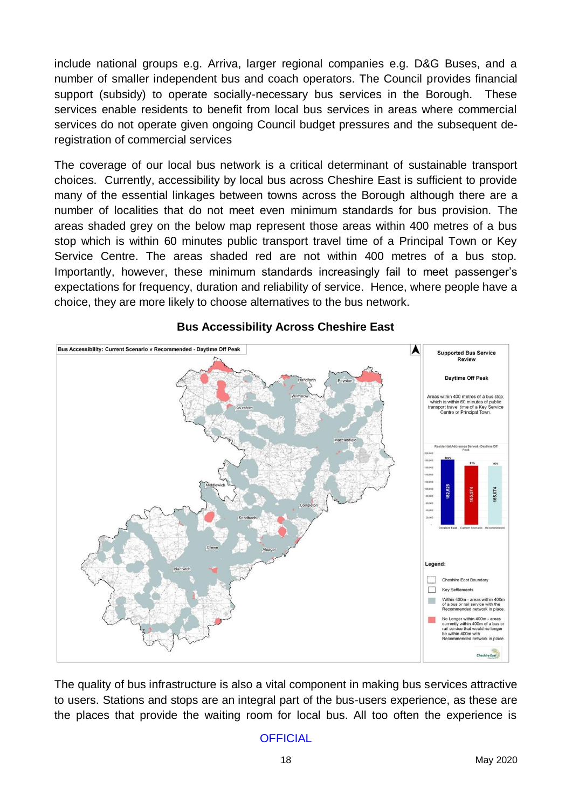include national groups e.g. Arriva, larger regional companies e.g. D&G Buses, and a number of smaller independent bus and coach operators. The Council provides financial support (subsidy) to operate socially-necessary bus services in the Borough. These services enable residents to benefit from local bus services in areas where commercial services do not operate given ongoing Council budget pressures and the subsequent deregistration of commercial services

The coverage of our local bus network is a critical determinant of sustainable transport choices. Currently, accessibility by local bus across Cheshire East is sufficient to provide many of the essential linkages between towns across the Borough although there are a number of localities that do not meet even minimum standards for bus provision. The areas shaded grey on the below map represent those areas within 400 metres of a bus stop which is within 60 minutes public transport travel time of a Principal Town or Key Service Centre. The areas shaded red are not within 400 metres of a bus stop. Importantly, however, these minimum standards increasingly fail to meet passenger's expectations for frequency, duration and reliability of service. Hence, where people have a choice, they are more likely to choose alternatives to the bus network.



#### **Bus Accessibility Across Cheshire East**

The quality of bus infrastructure is also a vital component in making bus services attractive to users. Stations and stops are an integral part of the bus-users experience, as these are the places that provide the waiting room for local bus. All too often the experience is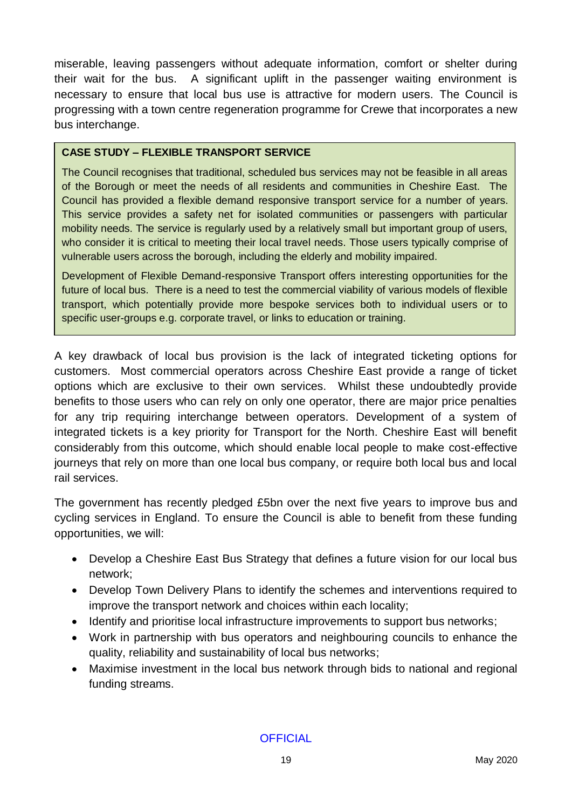miserable, leaving passengers without adequate information, comfort or shelter during their wait for the bus. A significant uplift in the passenger waiting environment is necessary to ensure that local bus use is attractive for modern users. The Council is progressing with a town centre regeneration programme for Crewe that incorporates a new bus interchange.

#### **CASE STUDY – FLEXIBLE TRANSPORT SERVICE**

The Council recognises that traditional, scheduled bus services may not be feasible in all areas of the Borough or meet the needs of all residents and communities in Cheshire East. The Council has provided a flexible demand responsive transport service for a number of years. This service provides a safety net for isolated communities or passengers with particular mobility needs. The service is regularly used by a relatively small but important group of users, who consider it is critical to meeting their local travel needs. Those users typically comprise of vulnerable users across the borough, including the elderly and mobility impaired.

Development of Flexible Demand-responsive Transport offers interesting opportunities for the future of local bus. There is a need to test the commercial viability of various models of flexible transport, which potentially provide more bespoke services both to individual users or to specific user-groups e.g. corporate travel, or links to education or training.

A key drawback of local bus provision is the lack of integrated ticketing options for customers. Most commercial operators across Cheshire East provide a range of ticket options which are exclusive to their own services. Whilst these undoubtedly provide benefits to those users who can rely on only one operator, there are major price penalties for any trip requiring interchange between operators. Development of a system of integrated tickets is a key priority for Transport for the North. Cheshire East will benefit considerably from this outcome, which should enable local people to make cost-effective journeys that rely on more than one local bus company, or require both local bus and local rail services.

The government has recently pledged £5bn over the next five years to improve bus and cycling services in England. To ensure the Council is able to benefit from these funding opportunities, we will:

- Develop a Cheshire East Bus Strategy that defines a future vision for our local bus network;
- Develop Town Delivery Plans to identify the schemes and interventions required to improve the transport network and choices within each locality;
- Identify and prioritise local infrastructure improvements to support bus networks;
- Work in partnership with bus operators and neighbouring councils to enhance the quality, reliability and sustainability of local bus networks;
- Maximise investment in the local bus network through bids to national and regional funding streams.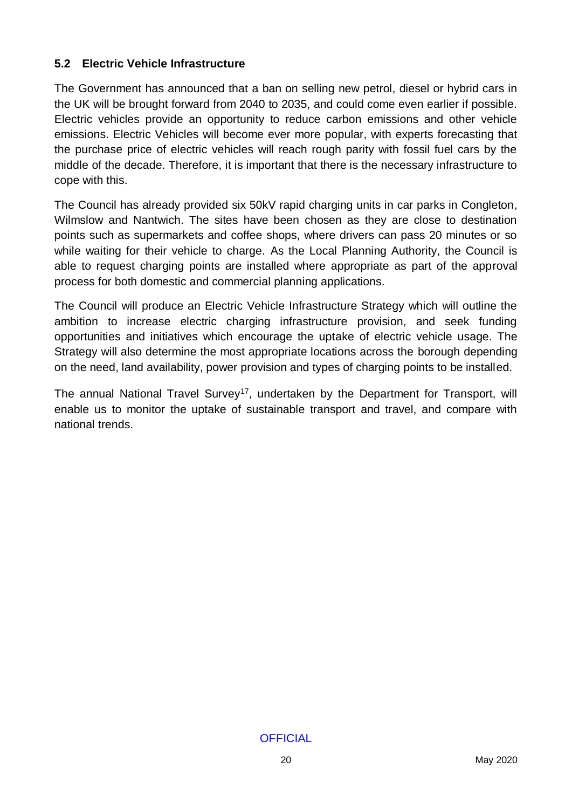#### **5.2 Electric Vehicle Infrastructure**

The Government has announced that a ban on selling new petrol, diesel or hybrid cars in the UK will be brought forward from 2040 to 2035, and could come even earlier if possible. Electric vehicles provide an opportunity to reduce carbon emissions and other vehicle emissions. Electric Vehicles will become ever more popular, with experts forecasting that the purchase price of electric vehicles will reach rough parity with fossil fuel cars by the middle of the decade. Therefore, it is important that there is the necessary infrastructure to cope with this.

The Council has already provided six 50kV rapid charging units in car parks in Congleton, Wilmslow and Nantwich. The sites have been chosen as they are close to destination points such as supermarkets and coffee shops, where drivers can pass 20 minutes or so while waiting for their vehicle to charge. As the Local Planning Authority, the Council is able to request charging points are installed where appropriate as part of the approval process for both domestic and commercial planning applications.

The Council will produce an Electric Vehicle Infrastructure Strategy which will outline the ambition to increase electric charging infrastructure provision, and seek funding opportunities and initiatives which encourage the uptake of electric vehicle usage. The Strategy will also determine the most appropriate locations across the borough depending on the need, land availability, power provision and types of charging points to be installed.

The annual National Travel Survey<sup>17</sup>, undertaken by the Department for Transport, will enable us to monitor the uptake of sustainable transport and travel, and compare with national trends.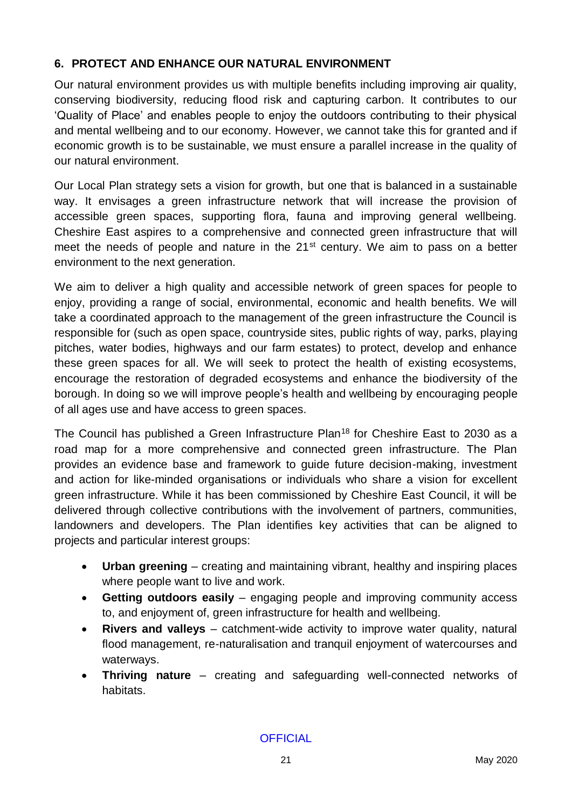## **6. PROTECT AND ENHANCE OUR NATURAL ENVIRONMENT**

Our natural environment provides us with multiple benefits including improving air quality, conserving biodiversity, reducing flood risk and capturing carbon. It contributes to our 'Quality of Place' and enables people to enjoy the outdoors contributing to their physical and mental wellbeing and to our economy. However, we cannot take this for granted and if economic growth is to be sustainable, we must ensure a parallel increase in the quality of our natural environment.

Our Local Plan strategy sets a vision for growth, but one that is balanced in a sustainable way. It envisages a green infrastructure network that will increase the provision of accessible green spaces, supporting flora, fauna and improving general wellbeing. Cheshire East aspires to a comprehensive and connected green infrastructure that will meet the needs of people and nature in the 21<sup>st</sup> century. We aim to pass on a better environment to the next generation.

We aim to deliver a high quality and accessible network of green spaces for people to enjoy, providing a range of social, environmental, economic and health benefits. We will take a coordinated approach to the management of the green infrastructure the Council is responsible for (such as open space, countryside sites, public rights of way, parks, playing pitches, water bodies, highways and our farm estates) to protect, develop and enhance these green spaces for all. We will seek to protect the health of existing ecosystems, encourage the restoration of degraded ecosystems and enhance the biodiversity of the borough. In doing so we will improve people's health and wellbeing by encouraging people of all ages use and have access to green spaces.

The Council has published a Green Infrastructure Plan<sup>18</sup> for Cheshire East to 2030 as a road map for a more comprehensive and connected green infrastructure. The Plan provides an evidence base and framework to guide future decision-making, investment and action for like-minded organisations or individuals who share a vision for excellent green infrastructure. While it has been commissioned by Cheshire East Council, it will be delivered through collective contributions with the involvement of partners, communities, landowners and developers. The Plan identifies key activities that can be aligned to projects and particular interest groups:

- **Urban greening** creating and maintaining vibrant, healthy and inspiring places where people want to live and work.
- **Getting outdoors easily** engaging people and improving community access to, and enjoyment of, green infrastructure for health and wellbeing.
- **Rivers and valleys** catchment-wide activity to improve water quality, natural flood management, re-naturalisation and tranquil enjoyment of watercourses and waterways.
- **Thriving nature** creating and safeguarding well-connected networks of habitats.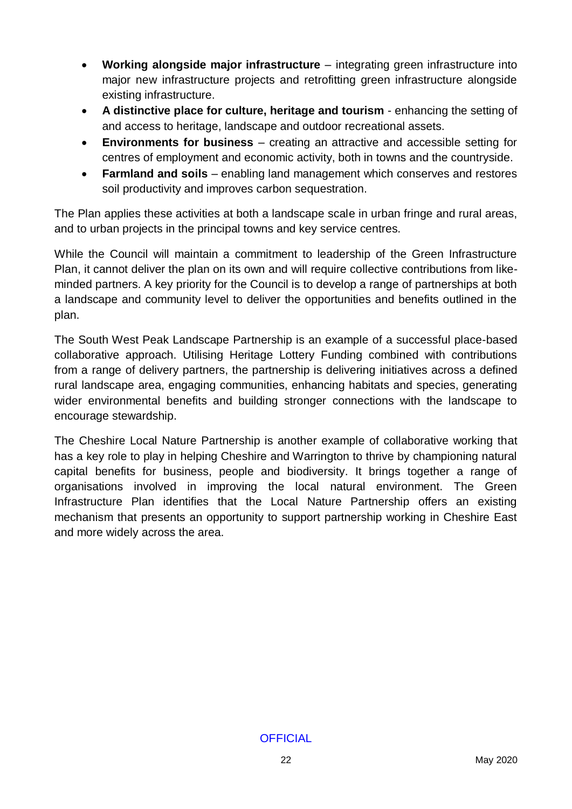- **Working alongside major infrastructure** integrating green infrastructure into major new infrastructure projects and retrofitting green infrastructure alongside existing infrastructure.
- **A distinctive place for culture, heritage and tourism**  enhancing the setting of and access to heritage, landscape and outdoor recreational assets.
- **Environments for business**  creating an attractive and accessible setting for centres of employment and economic activity, both in towns and the countryside.
- **Farmland and soils**  enabling land management which conserves and restores soil productivity and improves carbon sequestration.

The Plan applies these activities at both a landscape scale in urban fringe and rural areas, and to urban projects in the principal towns and key service centres.

While the Council will maintain a commitment to leadership of the Green Infrastructure Plan, it cannot deliver the plan on its own and will require collective contributions from likeminded partners. A key priority for the Council is to develop a range of partnerships at both a landscape and community level to deliver the opportunities and benefits outlined in the plan.

The South West Peak Landscape Partnership is an example of a successful place-based collaborative approach. Utilising Heritage Lottery Funding combined with contributions from a range of delivery partners, the partnership is delivering initiatives across a defined rural landscape area, engaging communities, enhancing habitats and species, generating wider environmental benefits and building stronger connections with the landscape to encourage stewardship.

The Cheshire Local Nature Partnership is another example of collaborative working that has a key role to play in helping Cheshire and Warrington to thrive by championing natural capital benefits for business, people and biodiversity. It brings together a range of organisations involved in improving the local natural environment. The Green Infrastructure Plan identifies that the Local Nature Partnership offers an existing mechanism that presents an opportunity to support partnership working in Cheshire East and more widely across the area.